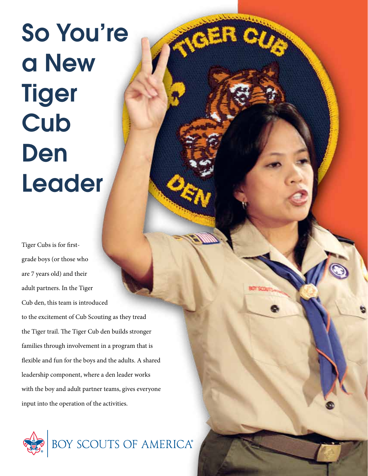# So You're a New **Tiger Cub** Den Leader

Tiger Cubs is for firstgrade boys (or those who are 7 years old) and their adult partners. In the Tiger Cub den, this team is introduced to the excitement of Cub Scouting as they tread the Tiger trail. The Tiger Cub den builds stronger families through involvement in a program that is flexible and fun for the boys and the adults. A shared leadership component, where a den leader works with the boy and adult partner teams, gives everyone input into the operation of the activities.

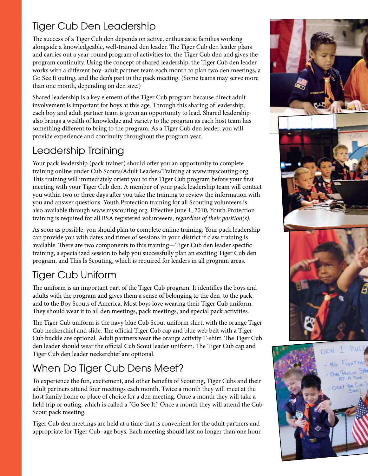#### Tiger Cub Den Leadership

The success of a Tiger Cub den depends on active, enthusiastic families working alongside a knowledgeable, well-trained den leader. The Tiger Cub den leader plans and carries out a year-round program of activities for the Tiger Cub den and gives the program continuity. Using the concept of shared leadership, the Tiger Cub den leader works with a different boy–adult partner team each month to plan two den meetings, a Go See It outing, and the den's part in the pack meeting. (Some teams may serve more than one month, depending on den size.)

Shared leadership is a key element of the Tiger Cub program because direct adult involvement is important for boys at this age. Through this sharing of leadership, each boy and adult partner team is given an opportunity to lead. Shared leadership also brings a wealth of knowledge and variety to the program as each host team has something different to bring to the program. As a Tiger Cub den leader, you will provide experience and continuity throughout the program year.

## Leadership Training

Your pack leadership (pack trainer) should offer you an opportunity to complete training online under Cub Scouts/Adult Leaders/Training at www.myscouting.org. This training will immediately orient you to the Tiger Cub program before your first meeting with your Tiger Cub den. A member of your pack leadership team will contact you within two or three days after you take the training to review the information with you and answer questions. Youth Protection training for all Scouting volunteers is also available through www.myscouting.org. Effective June 1, 2010, Youth Protection training is required for all BSA registered volunteeers, *regardless of their position(s).*

As soon as possible, you should plan to complete online training. Your pack leadership can provide you with dates and times of sessions in your district if class training is available. There are two components to this training—Tiger Cub den leader specific training, a specialized session to help you successfully plan an exciting Tiger Cub den program, and This Is Scouting, which is required for leaders in all program areas.

# Tiger Cub Uniform

The uniform is an important part of the Tiger Cub program. It identifies the boys and adults with the program and gives them a sense of belonging to the den, to the pack, and to the Boy Scouts of America. Most boys love wearing their Tiger Cub uniform. They should wear it to all den meetings, pack meetings, and special pack activities.

The Tiger Cub uniform is the navy blue Cub Scout uniform shirt, with the orange Tiger Cub neckerchief and slide. The official Tiger Cub cap and blue web belt with a Tiger Cub buckle are optional. Adult partners wear the orange activity T-shirt. The Tiger Cub den leader should wear the official Cub Scout leader uniform. The Tiger Cub cap and Tiger Cub den leader neckerchief are optional.

# When Do Tiger Cub Dens Meet?

To experience the fun, excitement, and other benefits of Scouting, Tiger Cubs and their adult partners attend four meetings each month. Twice a month they will meet at the host family home or place of choice for a den meeting. Once a month they will take a field trip or outing, which is called a "Go See It." Once a month they will attend the Cub Scout pack meeting.

Tiger Cub den meetings are held at a time that is convenient for the adult partners and appropriate for Tiger Cub–age boys. Each meeting should last no longer than one hour.



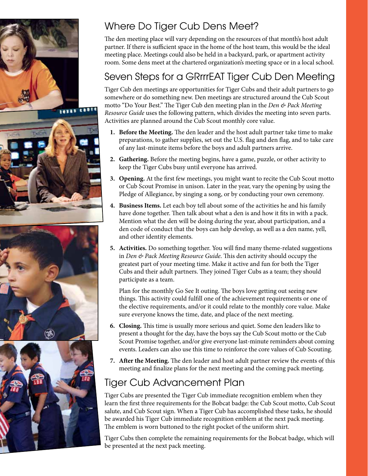





# Where Do Tiger Cub Dens Meet?

The den meeting place will vary depending on the resources of that month's host adult partner. If there is sufficient space in the home of the host team, this would be the ideal meeting place. Meetings could also be held in a backyard, park, or apartment activity room. Some dens meet at the chartered organization's meeting space or in a local school.

# Seven Steps for a GRrrrEAT Tiger Cub Den Meeting

Tiger Cub den meetings are opportunities for Tiger Cubs and their adult partners to go somewhere or do something new. Den meetings are structured around the Cub Scout motto "Do Your Best." The Tiger Cub den meeting plan in the *Den & Pack Meeting Resource Guide* uses the following pattern, which divides the meeting into seven parts. Activities are planned around the Cub Scout monthly core value.

- **1. Before the Meeting.** The den leader and the host adult partner take time to make preparations, to gather supplies, set out the U.S. flag and den flag, and to take care of any last-minute items before the boys and adult partners arrive.
- **2. Gathering.** Before the meeting begins, have a game, puzzle, or other activity to keep the Tiger Cubs busy until everyone has arrived.
- **3. Opening.** At the first few meetings, you might want to recite the Cub Scout motto or Cub Scout Promise in unison. Later in the year, vary the opening by using the Pledge of Allegiance, by singing a song, or by conducting your own ceremony.
- **4. Business Items.** Let each boy tell about some of the activities he and his family have done together. Then talk about what a den is and how it fits in with a pack. Mention what the den will be doing during the year, about participation, and a den code of conduct that the boys can help develop, as well as a den name, yell, and other identity elements.
- **5. Activities.** Do something together. You will find many theme-related suggestions in *Den & Pack Meeting Resource Guide*. This den activity should occupy the greatest part of your meeting time. Make it active and fun for both the Tiger Cubs and their adult partners. They joined Tiger Cubs as a team; they should participate as a team.

Plan for the monthly Go See It outing. The boys love getting out seeing new things. This activity could fulfill one of the achievement requirements or one of the elective requirements, and/or it could relate to the monthly core value. Make sure everyone knows the time, date, and place of the next meeting.

- **6. Closing.** This time is usually more serious and quiet. Some den leaders like to present a thought for the day, have the boys say the Cub Scout motto or the Cub Scout Promise together, and/or give everyone last-minute reminders about coming events. Leaders can also use this time to reinforce the core values of Cub Scouting.
- **7. After the Meeting.** The den leader and host adult partner review the events of this meeting and finalize plans for the next meeting and the coming pack meeting.

# Tiger Cub Advancement Plan

Tiger Cubs are presented the Tiger Cub immediate recognition emblem when they learn the first three requirements for the Bobcat badge: the Cub Scout motto, Cub Scout salute, and Cub Scout sign. When a Tiger Cub has accomplished these tasks, he should be awarded his Tiger Cub immediate recognition emblem at the next pack meeting. The emblem is worn buttoned to the right pocket of the uniform shirt.

Tiger Cubs then complete the remaining requirements for the Bobcat badge, which will be presented at the next pack meeting.